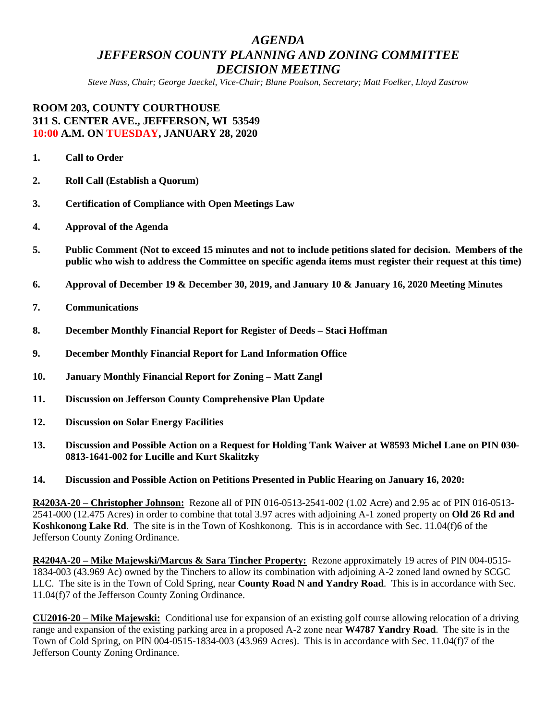## *AGENDA JEFFERSON COUNTY PLANNING AND ZONING COMMITTEE DECISION MEETING*

*Steve Nass, Chair; George Jaeckel, Vice-Chair; Blane Poulson, Secretary; Matt Foelker, Lloyd Zastrow*

## **ROOM 203, COUNTY COURTHOUSE 311 S. CENTER AVE., JEFFERSON, WI 53549 10:00 A.M. ON TUESDAY, JANUARY 28, 2020**

- **1. Call to Order**
- **2. Roll Call (Establish a Quorum)**
- **3. Certification of Compliance with Open Meetings Law**
- **4. Approval of the Agenda**
- **5. Public Comment (Not to exceed 15 minutes and not to include petitions slated for decision. Members of the public who wish to address the Committee on specific agenda items must register their request at this time)**
- **6. Approval of December 19 & December 30, 2019, and January 10 & January 16, 2020 Meeting Minutes**
- **7. Communications**
- **8. December Monthly Financial Report for Register of Deeds – Staci Hoffman**
- **9. December Monthly Financial Report for Land Information Office**
- **10. January Monthly Financial Report for Zoning – Matt Zangl**
- **11. Discussion on Jefferson County Comprehensive Plan Update**
- **12. Discussion on Solar Energy Facilities**
- **13. Discussion and Possible Action on a Request for Holding Tank Waiver at W8593 Michel Lane on PIN 030- 0813-1641-002 for Lucille and Kurt Skalitzky**
- **14. Discussion and Possible Action on Petitions Presented in Public Hearing on January 16, 2020:**

**R4203A-20 – Christopher Johnson:** Rezone all of PIN 016-0513-2541-002 (1.02 Acre) and 2.95 ac of PIN 016-0513- 2541-000 (12.475 Acres) in order to combine that total 3.97 acres with adjoining A-1 zoned property on **Old 26 Rd and Koshkonong Lake Rd**. The site is in the Town of Koshkonong. This is in accordance with Sec. 11.04(f)6 of the Jefferson County Zoning Ordinance.

**R4204A-20 – Mike Majewski/Marcus & Sara Tincher Property:** Rezone approximately 19 acres of PIN 004-0515- 1834-003 (43.969 Ac) owned by the Tinchers to allow its combination with adjoining A-2 zoned land owned by SCGC LLC. The site is in the Town of Cold Spring, near **County Road N and Yandry Road**. This is in accordance with Sec. 11.04(f)7 of the Jefferson County Zoning Ordinance.

**CU2016-20 – Mike Majewski:** Conditional use for expansion of an existing golf course allowing relocation of a driving range and expansion of the existing parking area in a proposed A-2 zone near **W4787 Yandry Road**. The site is in the Town of Cold Spring, on PIN 004-0515-1834-003 (43.969 Acres). This is in accordance with Sec. 11.04(f)7 of the Jefferson County Zoning Ordinance.